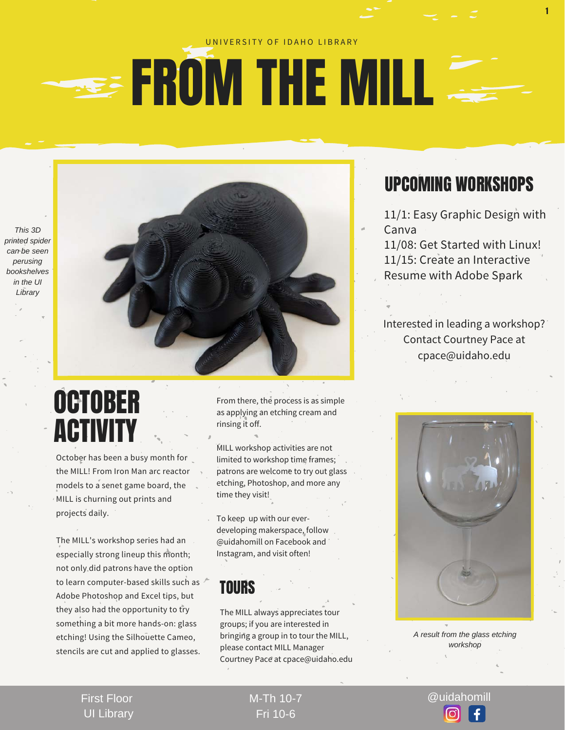#### UNIVERSITY OF IDAHO LIBRARY

## **SEE FROM THE MILL**

*This 3D printed spider can be seen perusing bookshelves in the UI Library* 



October has been a busy month for the MILL! From Iron Man arc reactor models to a senet game board, the MILL is churning out prints and projects daily.

The MILL's workshop series had an especially strong lineup this month; not only did patrons have the option to learn computer-based skills such as Adobe Photoshop and Excel tips, but they also had the opportunity to try something a bit more hands-on: glass etching! Using the Silhouette Cameo, stencils are cut and applied to glasses.

From there, the process is as simple as applying an etching cream and rinsing it off.

MILL workshop activities are not limited to workshop time frames; patrons are welcome to try out glass etching, Photoshop, and more any time they visit!

To keep up with our everdeveloping makerspace, follow @uidahomill on Facebook and Instagram, and visit often!

#### TOURS

The MILL always appreciates tour groups; if you are interested in bringing a group in to tour the MILL, please contact MILL Manager Courtney Pace at cpace@uidaho.edu

### UPCOMING WORKSHOPS

1

11/1: Easy Graphic Design with Canva

11/08: Get Started with Linux! 11/15: Create an Interactive Resume with Adobe Spark

Interested in leading a workshop? Contact Courtney Pace at cpace@uidaho.edu



*A result from the glass etching workshop*

First Floor UI Library M-Th 10-7 @uidahomill Fri 10-6